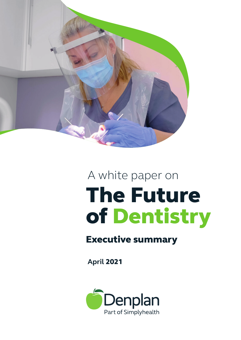

## A white paper on The Future of Dentistry

## Executive summary

**April** 2021

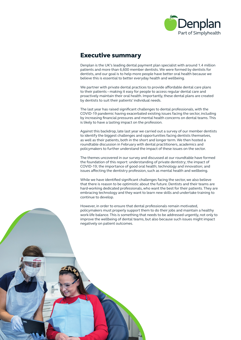

## Executive summary

Denplan is the UK's leading dental payment plan specialist with around 1.4 million patients and more than 6,600 member dentists. We were formed by dentists for dentists, and our goal is to help more people have better oral health because we believe this is essential to better everyday health and wellbeing.

We partner with private dental practices to provide affordable dental care plans to their patients – making it easy for people to access regular dental care and proactively maintain their oral health. Importantly, these dental plans are created by dentists to suit their patients' individual needs.

The last year has raised significant challenges to dental professionals, with the COVID-19 pandemic having exacerbated existing issues facing the sector, including by increasing financial pressures and mental health concerns on dental teams. This is likely to have a lasting impact on the profession.

Against this backdrop, late last year we carried out a survey of our member dentists to identify the biggest challenges and opportunities facing dentists themselves, as well as their patients, both in the short and longer term. We then hosted a roundtable discussion in February with dental practitioners, academics and policymakers to further understand the impact of these issues on the sector.

The themes uncovered in our survey and discussed at our roundtable have formed the foundation of this report: understanding of private dentistry; the impact of COVID-19; the importance of good oral health; technology and innovation; and issues affecting the dentistry profession, such as mental health and wellbeing.

While we have identified significant challenges facing the sector, we also believe that there is reason to be optimistic about the future. Dentists and their teams are hard-working dedicated professionals, who want the best for their patients. They are embracing technology and they want to learn new skills and undertake training to continue to develop.

However, in order to ensure that dental professionals remain motivated, policymakers must properly support them to do their jobs and maintain a healthy work-life balance. This is something that needs to be addressed urgently, not only to improve the wellbeing of dental teams, but also because such issues might impact negatively on patient outcomes.